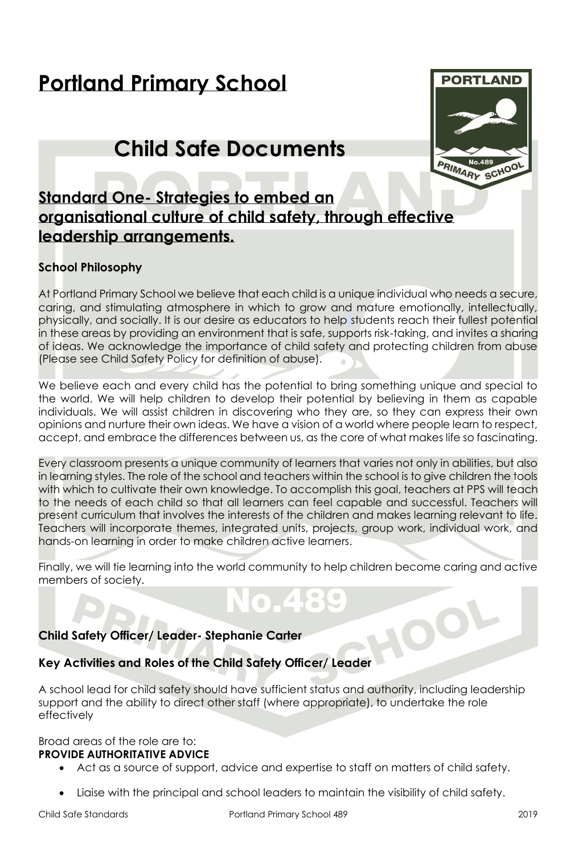# **Portland Primary School**

# **Child Safe Documents**



## **Standard One- Strategies to embed an organisational culture of child safety, through effective leadership arrangements.**

#### **School Philosophy**

At Portland Primary School we believe that each child is a unique individual who needs a secure, caring, and stimulating atmosphere in which to grow and mature emotionally, intellectually, physically, and socially. It is our desire as educators to help students reach their fullest potential in these areas by providing an environment that is safe, supports risk-taking, and invites a sharing of ideas. We acknowledge the importance of child safety and protecting children from abuse (Please see Child Safety Policy for definition of abuse).

We believe each and every child has the potential to bring something unique and special to the world. We will help children to develop their potential by believing in them as capable individuals. We will assist children in discovering who they are, so they can express their own opinions and nurture their own ideas. We have a vision of a world where people learn to respect, accept, and embrace the differences between us, as the core of what makes life so fascinating.

Every classroom presents a unique community of learners that varies not only in abilities, but also in learning styles. The role of the school and teachers within the school is to give children the tools with which to cultivate their own knowledge. To accomplish this goal, teachers at PPS will teach to the needs of each child so that all learners can feel capable and successful. Teachers will present curriculum that involves the interests of the children and makes learning relevant to life. Teachers will incorporate themes, integrated units, projects, group work, individual work, and hands-on learning in order to make children active learners.

Finally, we will tie learning into the world community to help children become caring and active members of society.

#### **Child Safety Officer/ Leader- Stephanie Carter**

#### **Key Activities and Roles of the Child Safety Officer/ Leader**

A school lead for child safety should have sufficient status and authority, including leadership support and the ability to direct other staff (where appropriate), to undertake the role effectively

Broad areas of the role are to: **PROVIDE AUTHORITATIVE ADVICE** 

- Act as a source of support, advice and expertise to staff on matters of child safety.
- Liaise with the principal and school leaders to maintain the visibility of child safety.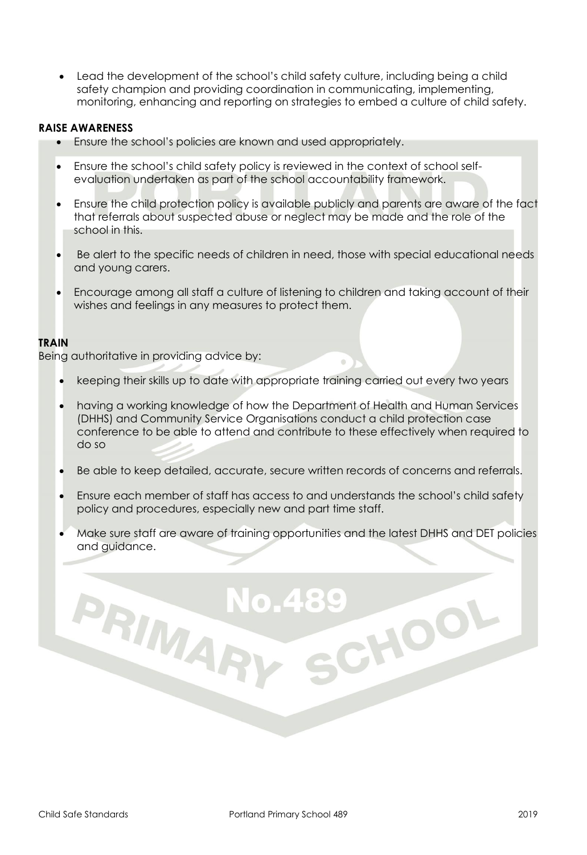• Lead the development of the school's child safety culture, including being a child safety champion and providing coordination in communicating, implementing, monitoring, enhancing and reporting on strategies to embed a culture of child safety.

#### **RAISE AWARENESS**

- Ensure the school's policies are known and used appropriately.
- Ensure the school's child safety policy is reviewed in the context of school selfevaluation undertaken as part of the school accountability framework.
- Ensure the child protection policy is available publicly and parents are aware of the fact that referrals about suspected abuse or neglect may be made and the role of the school in this.
- Be alert to the specific needs of children in need, those with special educational needs and young carers.
- Encourage among all staff a culture of listening to children and taking account of their wishes and feelings in any measures to protect them.

#### **TRAIN**

Being authoritative in providing advice by:

PRIMAR

- keeping their skills up to date with appropriate training carried out every two years
- having a working knowledge of how the Department of Health and Human Services (DHHS) and Community Service Organisations conduct a child protection case conference to be able to attend and contribute to these effectively when required to do so
- Be able to keep detailed, accurate, secure written records of concerns and referrals.
- Ensure each member of staff has access to and understands the school's child safety policy and procedures, especially new and part time staff.
- Make sure staff are aware of training opportunities and the latest DHHS and DET policies and guidance.

CHOOL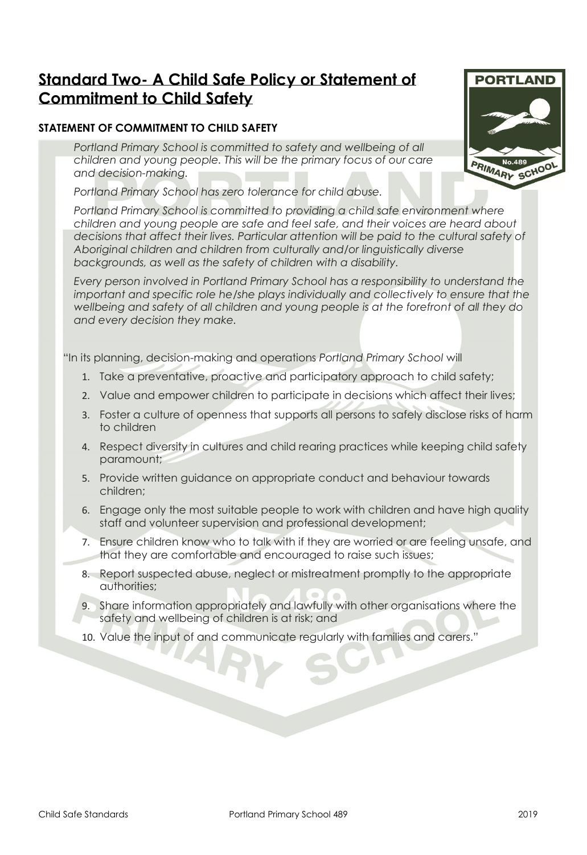## **Standard Two- A Child Safe Policy or Statement of Commitment to Child Safety**

#### **STATEMENT OF COMMITMENT TO CHILD SAFETY**

*Portland Primary School is committed to safety and wellbeing of all children and young people. This will be the primary focus of our care and decision-making.* 

*Portland Primary School has zero tolerance for child abuse.* 

*Portland Primary School is committed to providing a child safe environment where children and young people are safe and feel safe, and their voices are heard about decisions that affect their lives. Particular attention will be paid to the cultural safety of Aboriginal children and children from culturally and/or linguistically diverse backgrounds, as well as the safety of children with a disability.*

*Every person involved in Portland Primary School has a responsibility to understand the important and specific role he/she plays individually and collectively to ensure that the wellbeing and safety of all children and young people is at the forefront of all they do and every decision they make.*

"In its planning, decision-making and operations *Portland Primary School* will

- 1. Take a preventative, proactive and participatory approach to child safety;
- 2. Value and empower children to participate in decisions which affect their lives;
- 3. Foster a culture of openness that supports all persons to safely disclose risks of harm to children
- 4. Respect diversity in cultures and child rearing practices while keeping child safety paramount;
- 5. Provide written guidance on appropriate conduct and behaviour towards children;
- 6. Engage only the most suitable people to work with children and have high quality staff and volunteer supervision and professional development;
- 7. Ensure children know who to talk with if they are worried or are feeling unsafe, and that they are comfortable and encouraged to raise such issues;
- 8. Report suspected abuse, neglect or mistreatment promptly to the appropriate authorities;
- 9. Share information appropriately and lawfully with other organisations where the safety and wellbeing of children is at risk; and
- 10. Value the input of and communicate regularly with families and carers."

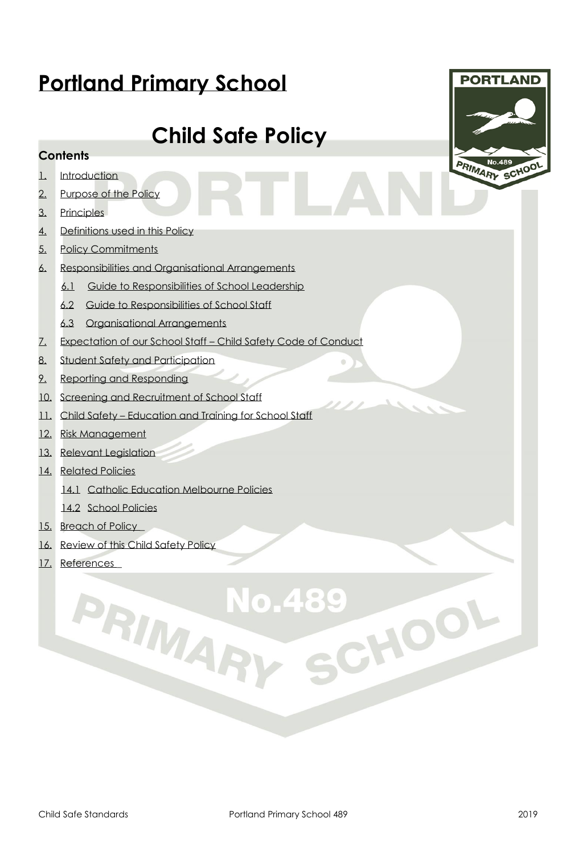# **Portland Primary School**

# **Child Safe Policy**

#### **Contents**

- 1. Introduction
- [2.](#page-4-0) [Purpose of the Policy](#page-4-0)
- [3.](#page-4-1) [Principles](#page-4-1)
- [4.](#page-5-0) [Definitions used in this Policy](#page-5-0)
- 5. Policy Commitments
- [6.](#page-7-0) [Responsibilities and Organisational Arrangements](#page-7-0)
	- [6.1](#page-7-1) [Guide to Responsibilities of School Leadership](#page-7-1)
	- [6.2](#page-7-2) [Guide to Responsibilities of School Staff](#page-7-2)
	- [6.3](#page-7-3) [Organisational Arrangements](#page-7-3)
- [7.](#page-7-4) [Expectation of our School Staff](#page-7-4)  Child Safety Code of Conduc[t](#page-7-4)
- [8.](#page-8-0) [Student Safety and Participation](#page-8-0)
- [9.](#page-8-1) [Reporting and Responding](#page-8-1)
- [10.](#page-8-2) [Screening and Recruitment of School Staff](#page-8-2)
- [11.](#page-9-0) [C](#page-9-0)hild Safety [Education and Training for School Staff](#page-9-0)
- [12.](#page-9-1) [Risk Management](#page-9-1)
- [13.](#page-9-2) [Relevant Legislation](#page-9-2)
- [14.](#page-9-3) [Related Policies](#page-9-3)
	- [14.1](#page-9-4) [Catholic Education Melbourne Policies](#page-9-4)

PRIMAR

- [14.2](#page-9-5) [School Policies](#page-9-5)
- [15.](#page-10-0) Breach of Policy
- [16.](#page-10-1) [Review of this Child Safety Policy](#page-10-1)
- [17.](#page-10-2) References



No.489

CHOOL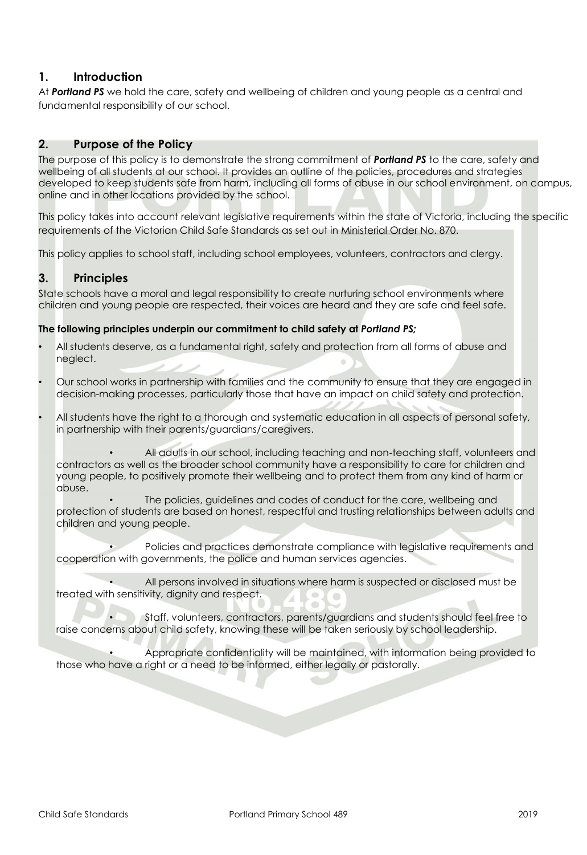#### **1. Introduction**

At *Portland PS* we hold the care, safety and wellbeing of children and young people as a central and fundamental responsibility of our school.

#### <span id="page-4-0"></span>**2. Purpose of the Policy**

The purpose of this policy is to demonstrate the strong commitment of *Portland PS* to the care, safety and wellbeing of all students at our school. It provides an outline of the policies, procedures and strategies developed to keep students safe from harm, including all forms of abuse in our school environment, on campus, online and in other locations provided by the school.

This policy takes into account relevant legislative requirements within the state of Victoria, including the specific requirements of the Victorian Child Safe Standards as set out i[n Ministerial Order No. 870.](http://www.gazette.vic.gov.au/gazette/Gazettes2016/GG2016S002.pdf)

This policy applies to school staff, including school employees, volunteers, contractors and clergy.

#### <span id="page-4-1"></span>**3. Principles**

State schools have a moral and legal responsibility to create nurturing school environments where children and young people are respected, their voices are heard and they are safe and feel safe.

#### **The following principles underpin our commitment to child safety at** *Portland PS;*

- All students deserve, as a fundamental right, safety and protection from all forms of abuse and neglect.
- Our school works in partnership with families and the community to ensure that they are engaged in decision-making processes, particularly those that have an impact on child safety and protection.
- All students have the right to a thorough and systematic education in all aspects of personal safety, in partnership with their parents/guardians/caregivers.

• All adults in our school, including teaching and non-teaching staff, volunteers and contractors as well as the broader school community have a responsibility to care for children and young people, to positively promote their wellbeing and to protect them from any kind of harm or abuse.

The policies, guidelines and codes of conduct for the care, wellbeing and protection of students are based on honest, respectful and trusting relationships between adults and children and young people.

• Policies and practices demonstrate compliance with legislative requirements and cooperation with governments, the police and human services agencies.

• All persons involved in situations where harm is suspected or disclosed must be treated with sensitivity, dignity and respect.

• Staff, volunteers, contractors, parents/guardians and students should feel free to raise concerns about child safety, knowing these will be taken seriously by school leadership.

• Appropriate confidentiality will be maintained, with information being provided to those who have a right or a need to be informed, either legally or pastorally.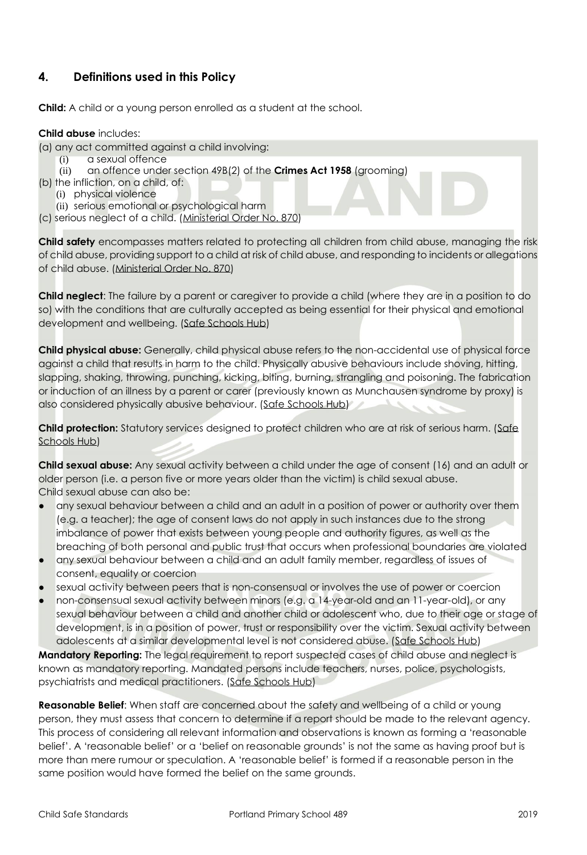#### <span id="page-5-0"></span>**4. Definitions used in this Policy**

**Child:** A child or a young person enrolled as a student at the school.

#### **Child abuse** includes:

- (a) any act committed against a child involving:
	- (i) a sexual offence
	- (ii) an offence under section 49B(2) of the **Crimes Act 1958** (grooming)
- (b) the infliction, on a child, of:
	- (i) physical violence
	- (ii) serious emotional or psychological harm
- (c) serious neglect of a child. [\(Ministerial Order No. 870\)](http://www.gazette.vic.gov.au/gazette/Gazettes2016/GG2016S002.pdf)

**Child safety** encompasses matters related to protecting all children from child abuse, managing the risk of child abuse, providing support to a child at risk of child abuse, and responding to incidents or allegations of child abuse. [\(Ministerial Order No. 870\)](http://www.gazette.vic.gov.au/gazette/Gazettes2016/GG2016S002.pdf)

**Child neglect**: The failure by a parent or caregiver to provide a child (where they are in a position to do so) with the conditions that are culturally accepted as being essential for their physical and emotional development and wellbeing. [\(Safe Schools Hub\)](http://safeschoolshub.edu.au/resources-and-help/Glossary)

**Child physical abuse:** Generally, child physical abuse refers to the non-accidental use of physical force against a child that results in harm to the child. Physically abusive behaviours include shoving, hitting, slapping, shaking, throwing, punching, kicking, biting, burning, strangling and poisoning. The fabrication or induction of an illness by a parent or carer (previously known as Munchausen syndrome by proxy) is also considered physically abusive behaviour. [\(Safe Schools Hub\)](http://safeschoolshub.edu.au/resources-and-help/Glossary)

**Child protection:** Statutory services designed to protect children who are at risk of serious harm. [\(Safe](http://safeschoolshub.edu.au/resources-and-help/Glossary)  [Schools Hub\)](http://safeschoolshub.edu.au/resources-and-help/Glossary)

**Child sexual abuse:** Any sexual activity between a child under the age of consent (16) and an adult or older person (i.e. a person five or more years older than the victim) is child sexual abuse. Child sexual abuse can also be:

- any sexual behaviour between a child and an adult in a position of power or authority over them (e.g. a teacher); the age of consent laws do not apply in such instances due to the strong imbalance of power that exists between young people and authority figures, as well as the breaching of both personal and public trust that occurs when professional boundaries are violated
- any sexual behaviour between a child and an adult family member, regardless of issues of consent, equality or coercion
- sexual activity between peers that is non-consensual or involves the use of power or coercion
- non-consensual sexual activity between minors (e.g. a 14-year-old and an 11-year-old), or any sexual behaviour between a child and another child or adolescent who, due to their age or stage of development, is in a position of power, trust or responsibility over the victim. Sexual activity between adolescents at a similar developmental level is not considered abuse. [\(Safe Schools Hub\)](http://safeschoolshub.edu.au/resources-and-help/Glossary)

**Mandatory Reporting:** The legal requirement to report suspected cases of child abuse and neglect is known as mandatory reporting. Mandated persons include teachers, nurses, police, psychologists, psychiatrists and medical practitioners. [\(Safe Schools Hub\)](http://safeschoolshub.edu.au/resources-and-help/Glossary)

**Reasonable Belief**: When staff are concerned about the safety and wellbeing of a child or young person, they must assess that concern to determine if a report should be made to the relevant agency. This process of considering all relevant information and observations is known as forming a 'reasonable belief'. A 'reasonable belief' or a 'belief on reasonable grounds' is not the same as having proof but is more than mere rumour or speculation. A 'reasonable belief' is formed if a reasonable person in the same position would have formed the belief on the same grounds.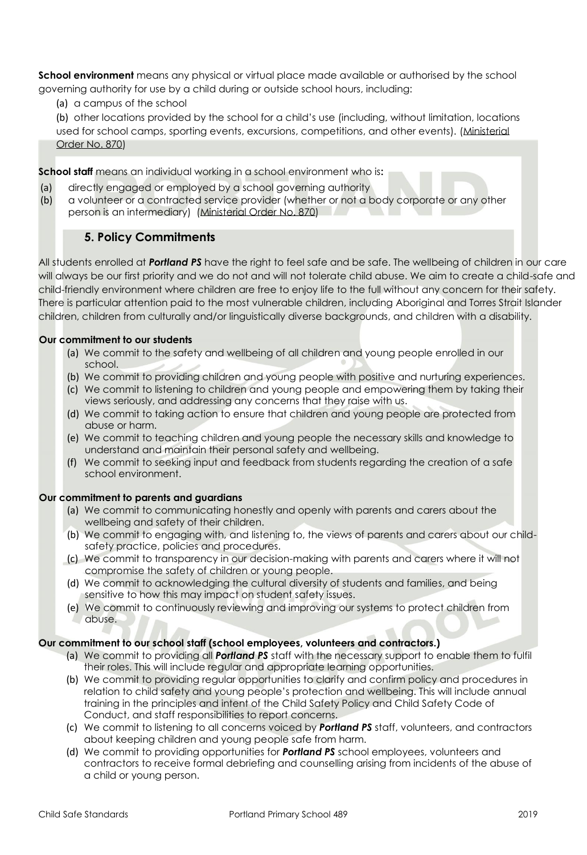**School environment** means any physical or virtual place made available or authorised by the school governing authority for use by a child during or outside school hours, including:

(a) a campus of the school

(b) other locations provided by the school for a child's use (including, without limitation, locations used for school camps, sporting events, excursions, competitions, and other events). [\(Ministerial](http://www.gazette.vic.gov.au/gazette/Gazettes2016/GG2016S002.pdf)  [Order No. 870\)](http://www.gazette.vic.gov.au/gazette/Gazettes2016/GG2016S002.pdf)

**School staff** means an individual working in a school environment who is**:**

- (a) directly engaged or employed by a school governing authority
- (b) a volunteer or a contracted service provider (whether or not a body corporate or any other person is an intermediary) [\(Ministerial Order No. 870\)](http://www.gazette.vic.gov.au/gazette/Gazettes2016/GG2016S002.pdf)

#### **5. Policy Commitments**

All students enrolled at *Portland PS* have the right to feel safe and be safe. The wellbeing of children in our care will always be our first priority and we do not and will not tolerate child abuse. We aim to create a child-safe and child-friendly environment where children are free to enjoy life to the full without any concern for their safety. There is particular attention paid to the most vulnerable children, including Aboriginal and Torres Strait Islander children, children from culturally and/or linguistically diverse backgrounds, and children with a disability.

#### **Our commitment to our students**

- (a) We commit to the safety and wellbeing of all children and young people enrolled in our school.
- (b) We commit to providing children and young people with positive and nurturing experiences.
- (c) We commit to listening to children and young people and empowering them by taking their views seriously, and addressing any concerns that they raise with us.
- (d) We commit to taking action to ensure that children and young people are protected from abuse or harm.
- (e) We commit to teaching children and young people the necessary skills and knowledge to understand and maintain their personal safety and wellbeing.
- (f) We commit to seeking input and feedback from students regarding the creation of a safe school environment.

#### **Our commitment to parents and guardians**

- (a) We commit to communicating honestly and openly with parents and carers about the wellbeing and safety of their children.
- (b) We commit to engaging with, and listening to, the views of parents and carers about our childsafety practice, policies and procedures.
- (c) We commit to transparency in our decision-making with parents and carers where it will not compromise the safety of children or young people.
- (d) We commit to acknowledging the cultural diversity of students and families, and being sensitive to how this may impact on student safety issues.
- (e) We commit to continuously reviewing and improving our systems to protect children from abuse.

#### **Our commitment to our school staff (school employees, volunteers and contractors.)**

- (a) We commit to providing all *Portland PS* staff with the necessary support to enable them to fulfil their roles. This will include regular and appropriate learning opportunities.
- (b) We commit to providing regular opportunities to clarify and confirm policy and procedures in relation to child safety and young people's protection and wellbeing. This will include annual training in the principles and intent of the Child Safety Policy and Child Safety Code of Conduct, and staff responsibilities to report concerns.
- (c) We commit to listening to all concerns voiced by *Portland PS* staff, volunteers, and contractors about keeping children and young people safe from harm.
- (d) We commit to providing opportunities for *Portland PS* school employees, volunteers and contractors to receive formal debriefing and counselling arising from incidents of the abuse of a child or young person.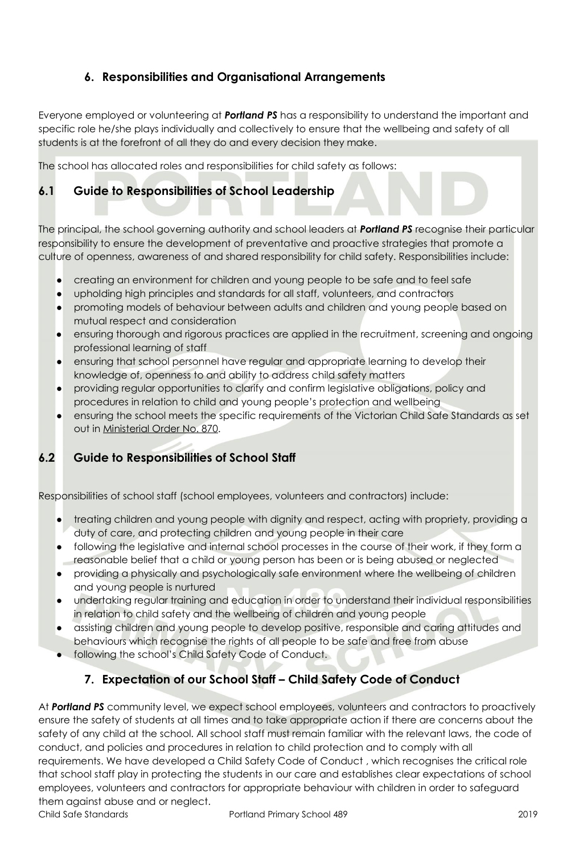#### **6. Responsibilities and Organisational Arrangements**

<span id="page-7-0"></span>Everyone employed or volunteering at *Portland PS* has a responsibility to understand the important and specific role he/she plays individually and collectively to ensure that the wellbeing and safety of all students is at the forefront of all they do and every decision they make.

The school has allocated roles and responsibilities for child safety as follows:

#### <span id="page-7-1"></span>**6.1 Guide to Responsibilities of School Leadership**

The principal, the school governing authority and school leaders at *Portland PS* recognise their particular responsibility to ensure the development of preventative and proactive strategies that promote a culture of openness, awareness of and shared responsibility for child safety. Responsibilities include:

- creating an environment for children and young people to be safe and to feel safe
- upholding high principles and standards for all staff, volunteers, and contractors
- promoting models of behaviour between adults and children and young people based on mutual respect and consideration
- ensuring thorough and rigorous practices are applied in the recruitment, screening and ongoing professional learning of staff
- ensuring that school personnel have regular and appropriate learning to develop their knowledge of, openness to and ability to address child safety matters
- providing regular opportunities to clarify and confirm legislative obligations, policy and procedures in relation to child and young people's protection and wellbeing
- ensuring the school meets the specific requirements of the Victorian Child Safe Standards as set out in [Ministerial Order No. 870.](http://www.gazette.vic.gov.au/gazette/Gazettes2016/GG2016S002.pdf)

#### <span id="page-7-2"></span>**6.2 Guide to Responsibilities of School Staff**

Responsibilities of school staff (school employees, volunteers and contractors) include:

- treating children and young people with dignity and respect, acting with propriety, providing a duty of care, and protecting children and young people in their care
- following the legislative and internal school processes in the course of their work, if they form a reasonable belief that a child or young person has been or is being abused or neglected
- providing a physically and psychologically safe environment where the wellbeing of children and young people is nurtured
- undertaking regular training and education in order to understand their individual responsibilities in relation to child safety and the wellbeing of children and young people
- assisting children and young people to develop positive, responsible and caring attitudes and behaviours which recognise the rights of all people to be safe and free from abuse
- following the school's Child Safety Code of Conduct.

#### <span id="page-7-3"></span>**7. Expectation of our School Staff – Child Safety Code of Conduct**

<span id="page-7-4"></span>At *Portland PS* community level, we expect school employees, volunteers and contractors to proactively ensure the safety of students at all times and to take appropriate action if there are concerns about the safety of any child at the school. All school staff must remain familiar with the relevant laws, the code of conduct, and policies and procedures in relation to child protection and to comply with all requirements. We have developed a Child Safety Code of Conduct , which recognises the critical role that school staff play in protecting the students in our care and establishes clear expectations of school employees, volunteers and contractors for appropriate behaviour with children in order to safeguard them against abuse and or neglect.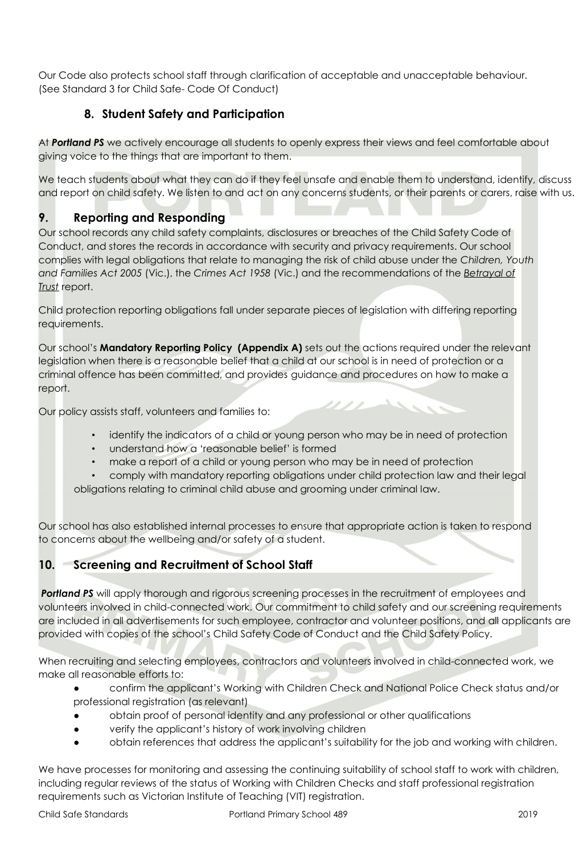Our Code also protects school staff through clarification of acceptable and unacceptable behaviour. (See Standard 3 for Child Safe- Code Of Conduct)

#### **8. Student Safety and Participation**

<span id="page-8-0"></span>At *Portland PS* we actively encourage all students to openly express their views and feel comfortable about giving voice to the things that are important to them.

We teach students about what they can do if they feel unsafe and enable them to understand, identify, discuss and report on child safety. We listen to and act on any concerns students, or their parents or carers, raise with us.

#### <span id="page-8-1"></span>**9. Reporting and Responding**

Our school records any child safety complaints, disclosures or breaches of the Child Safety Code of Conduct, and stores the records in accordance with security and privacy requirements. Our school complies with legal obligations that relate to managing the risk of child abuse under the *Children, Youth and Families Act 2005* (Vic.), the *Crimes Act 1958* (Vic.) and the recommendations of the *[Betrayal of](http://www.parliament.vic.gov.au/fcdc/article/1788)  [Trust](http://www.parliament.vic.gov.au/fcdc/article/1788)* report.

Child protection reporting obligations fall under separate pieces of legislation with differing reporting requirements.

Our school's **Mandatory Reporting Policy (Appendix A)** sets out the actions required under the relevant legislation when there is a reasonable belief that a child at our school is in need of protection or a criminal offence has been committed, and provides guidance and procedures on how to make a report.

Our policy assists staff, volunteers and families to:

• identify the indicators of a child or young person who may be in need of protection

////

- understand how a 'reasonable belief' is formed
- make a report of a child or young person who may be in need of protection
- comply with mandatory reporting obligations under child protection law and their legal obligations relating to criminal child abuse and grooming under criminal law.

Our school has also established internal processes to ensure that appropriate action is taken to respond to concerns about the wellbeing and/or safety of a student.

#### <span id="page-8-2"></span>**10. Screening and Recruitment of School Staff**

**Portland PS** will apply thorough and rigorous screening processes in the recruitment of employees and volunteers involved in child-connected work. Our commitment to child safety and our screening requirements are included in all advertisements for such employee, contractor and volunteer positions, and all applicants are provided with copies of the school's Child Safety Code of Conduct and the Child Safety Policy.

When recruiting and selecting employees, contractors and volunteers involved in child-connected work, we make all reasonable efforts to:

- confirm the applicant's Working with Children Check and National Police Check status and/or professional registration (as relevant)
- obtain proof of personal identity and any professional or other qualifications
- verify the applicant's history of work involving children
- obtain references that address the applicant's suitability for the job and working with children.

We have processes for monitoring and assessing the continuing suitability of school staff to work with children, including regular reviews of the status of Working with Children Checks and staff professional registration requirements such as Victorian Institute of Teaching (VIT) registration.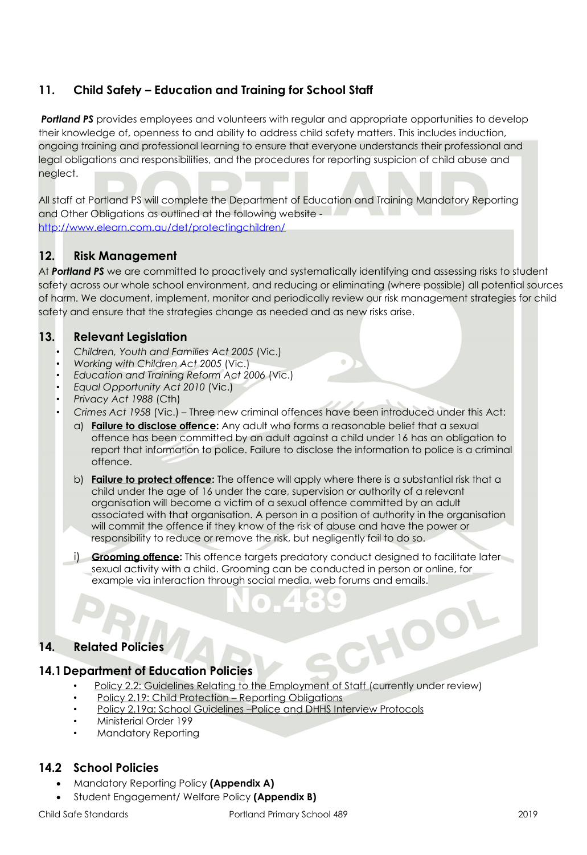#### <span id="page-9-0"></span>**11. Child Safety – Education and Training for School Staff**

**Portland PS** provides employees and volunteers with regular and appropriate opportunities to develop their knowledge of, openness to and ability to address child safety matters. This includes induction, ongoing training and professional learning to ensure that everyone understands their professional and legal obligations and responsibilities, and the procedures for reporting suspicion of child abuse and neglect.

All staff at Portland PS will complete the Department of Education and Training Mandatory Reporting and Other Obligations as outlined at the following website <http://www.elearn.com.au/det/protectingchildren/>

#### <span id="page-9-1"></span>**12. Risk Management**

At *Portland PS* we are committed to proactively and systematically identifying and assessing risks to student safety across our whole school environment, and reducing or eliminating (where possible) all potential sources of harm. We document, implement, monitor and periodically review our risk management strategies for child safety and ensure that the strategies change as needed and as new risks arise.

#### <span id="page-9-2"></span>**13. Relevant Legislation**

- *Children, Youth and Families Act 2005* (Vic.)
- *Working with Children Act 2005* (Vic.)
- *Education and Training Reform Act 2006* (Vic.)
- *Equal Opportunity Act 2010* (Vic.)
- *Privacy Act 1988* (Cth)
- *Crimes Act 1958* (Vic.) Three new criminal offences have been introduced under this Act:
	- a) **[Failure to disclose offence:](http://www.justice.vic.gov.au/home/safer%2Bcommunities/protecting%2Bchildren%2Band%2Bfamilies/failure%2Bto%2Bdisclose%2Boffence)** Any adult who forms a reasonable belief that a sexual offence has been committed by an adult against a child under 16 has an obligation to report that information to police. Failure to disclose the information to police is a criminal offence.
	- b) **[Failure to protect offence:](http://www.cecv.catholic.edu.au/http:/www.justice.vic.gov.au/home/safer%2Bcommunities/protecting%2Bchildren%2Band%2Bfamilies/failure%2Bto%2Bprotect%2Boffence)** The offence will apply where there is a substantial risk that a child under the age of 16 under the care, supervision or authority of a relevant organisation will become a victim of a sexual offence committed by an adult associated with that organisation. A person in a position of authority in the organisation will commit the offence if they know of the risk of abuse and have the power or responsibility to reduce or remove the risk, but negligently fail to do so.
	- i) **[Grooming offence:](http://www.justice.vic.gov.au/home/safer%2Bcommunities/protecting%2Bchildren%2Band%2Bfamilies/grooming%2Boffence)** This offence targets predatory conduct designed to facilitate later sexual activity with a child. Grooming can be conducted in person or online, for example via interaction through social media, web forums and emails.

HOO

#### <span id="page-9-3"></span>**14. Related Policies**

#### <span id="page-9-4"></span>**14.1Department of Education Policies**

- [Policy 2.2: Guidelines Relating to the Employment of Staff](http://www.cem.edu.au/publications-policies/policy/policy-2.2-guidelines-employment-of-staff/) (currently under review)
- [Policy 2.19: Child Protection](http://www.cem.edu.au/publications-policies/policy/policy-2.19-child-protection-repoting-obligations/)  Reporting Obligations
- Policy 2.19a: School Guidelines –[Police and DHHS Interview Protocols](http://www.cem.edu.au/publications-policies/policy/policy-2.19a-police-and-dhhs-interview-protocols/)
- Ministerial Order 199
- Mandatory Reporting

#### <span id="page-9-5"></span>**14.2 School Policies**

- Mandatory Reporting Policy **(Appendix A)**
	- Student Engagement/ Welfare Policy **(Appendix B)**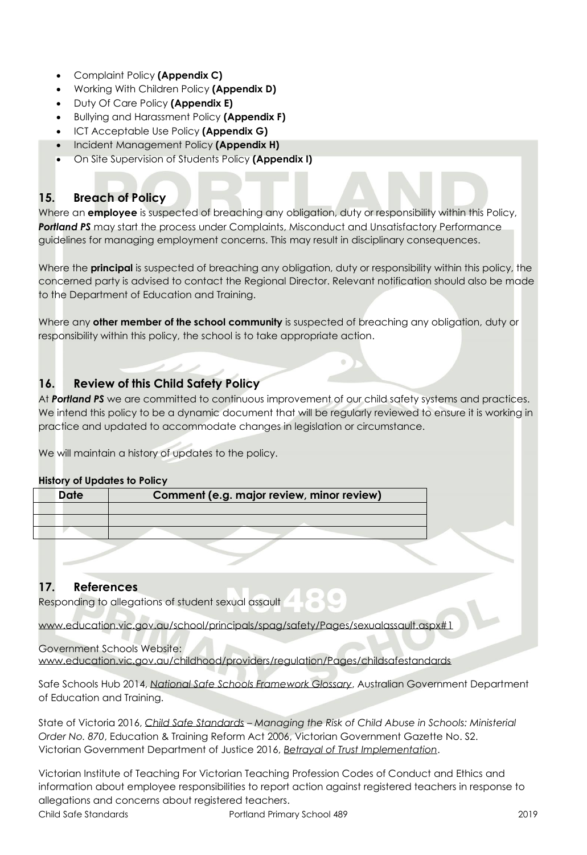- Complaint Policy **(Appendix C)**
- Working With Children Policy **(Appendix D)**
- Duty Of Care Policy **(Appendix E)**
- Bullying and Harassment Policy **(Appendix F)**
- ICT Acceptable Use Policy **(Appendix G)**
- Incident Management Policy **(Appendix H)**
- On Site Supervision of Students Policy **(Appendix I)**

#### <span id="page-10-0"></span>**15. Breach of Policy**

Where an **employee** is suspected of breaching any obligation, duty or responsibility within this Policy, **Portland PS** may start the process under Complaints, Misconduct and Unsatisfactory Performance guidelines for managing employment concerns. This may result in disciplinary consequences.

Where the **principal** is suspected of breaching any obligation, duty or responsibility within this policy, the concerned party is advised to contact the Regional Director. Relevant notification should also be made to the Department of Education and Training.

Where any **other member of the school community** is suspected of breaching any obligation, duty or responsibility within this policy, the school is to take appropriate action.

#### <span id="page-10-1"></span>**16. Review of this Child Safety Policy**

At *Portland PS* we are committed to continuous improvement of our child safety systems and practices. We intend this policy to be a dynamic document that will be regularly reviewed to ensure it is working in practice and updated to accommodate changes in legislation or circumstance.

We will maintain a history of updates to the policy.

#### **History of Updates to Policy**

| Date | Comment (e.g. major review, minor review) |  |
|------|-------------------------------------------|--|
|      |                                           |  |
|      |                                           |  |
|      |                                           |  |

#### <span id="page-10-2"></span>**17. References**

Responding to allegations of student sexual assault

[www.education.vic.gov.au/school/principals/spag/safety/Pages/sexualassault.aspx#1](http://www.education.vic.gov.au/school/principals/spag/safety/Pages/sexualassault.aspx#1)

#### Government Schools Website: [www.education.vic.gov.au/childhood/providers/regulation/Pages/childsafestandards](http://www.education.vic.gov.au/childhood/providers/regulation/Pages/childsafestandards)

Safe Schools Hub 2014, *[National Safe Schools Framework Glossary](http://safeschoolshub.edu.au/resources-and-help/Glossary)*, Australian Government Department of Education and Training.

State of Victoria 2016, *[Child Safe Standards](http://www.gazette.vic.gov.au/gazette/Gazettes2016/GG2016S002.pdf) – Managing the Risk of Child Abuse in Schools: Ministerial Order No. 870*, Education & Training Reform Act 2006, Victorian Government Gazette No. S2. Victorian Government Department of Justice 2016, *[Betrayal of Trust Implementation](http://www.justice.vic.gov.au/home/safer+communities/protecting+children+and+families/betrayal+of+trust+implementation)*.

Victorian Institute of Teaching For Victorian Teaching Profession Codes of Conduct and Ethics and information about employee responsibilities to report action against registered teachers in response to allegations and concerns about registered teachers.

Child Safe Standards Portland Primary School 489 2019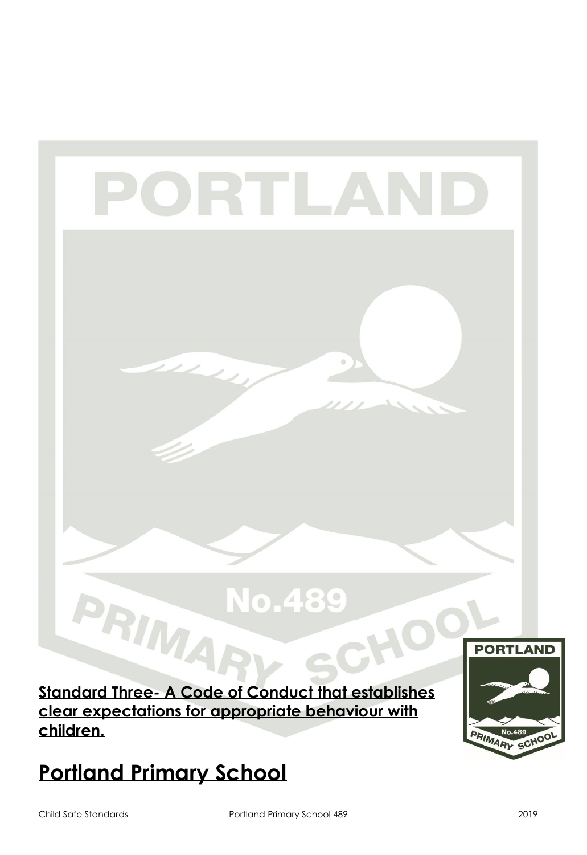# **Standard Three- A Code of Conduct that establishes clear expectations for appropriate behaviour with children.**

PORTLA

# **Portland Primary School**

PRIMA



No.489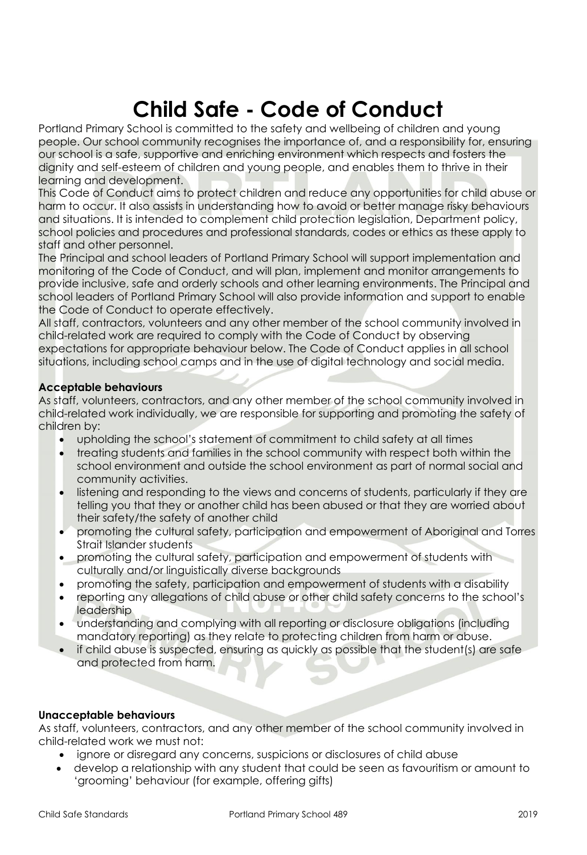# **Child Safe - Code of Conduct**

Portland Primary School is committed to the safety and wellbeing of children and young people. Our school community recognises the importance of, and a responsibility for, ensuring our school is a safe, supportive and enriching environment which respects and fosters the dignity and self-esteem of children and young people, and enables them to thrive in their learning and development.

This Code of Conduct aims to protect children and reduce any opportunities for child abuse or harm to occur. It also assists in understanding how to avoid or better manage risky behaviours and situations. It is intended to complement child protection legislation, Department policy, school policies and procedures and professional standards, codes or ethics as these apply to staff and other personnel.

The Principal and school leaders of Portland Primary School will support implementation and monitoring of the Code of Conduct, and will plan, implement and monitor arrangements to provide inclusive, safe and orderly schools and other learning environments. The Principal and school leaders of Portland Primary School will also provide information and support to enable the Code of Conduct to operate effectively.

All staff, contractors, volunteers and any other member of the school community involved in child-related work are required to comply with the Code of Conduct by observing expectations for appropriate behaviour below. The Code of Conduct applies in all school situations, including school camps and in the use of digital technology and social media.

#### **Acceptable behaviours**

As staff, volunteers, contractors, and any other member of the school community involved in child-related work individually, we are responsible for supporting and promoting the safety of children by:

- upholding the school's statement of commitment to child safety at all times
- treating students and families in the school community with respect both within the school environment and outside the school environment as part of normal social and community activities.
- listening and responding to the views and concerns of students, particularly if they are telling you that they or another child has been abused or that they are worried about their safety/the safety of another child
- promoting the cultural safety, participation and empowerment of Aboriginal and Torres Strait Islander students
- promoting the cultural safety, participation and empowerment of students with culturally and/or linguistically diverse backgrounds
- promoting the safety, participation and empowerment of students with a disability
- reporting any allegations of child abuse or other child safety concerns to the school's leadership
- understanding and complying with all reporting or disclosure obligations (including mandatory reporting) as they relate to protecting children from harm or abuse.
- if child abuse is suspected, ensuring as quickly as possible that the student(s) are safe and protected from harm.

#### **Unacceptable behaviours**

As staff, volunteers, contractors, and any other member of the school community involved in child-related work we must not:

- ignore or disregard any concerns, suspicions or disclosures of child abuse
- develop a relationship with any student that could be seen as favouritism or amount to 'grooming' behaviour (for example, offering gifts)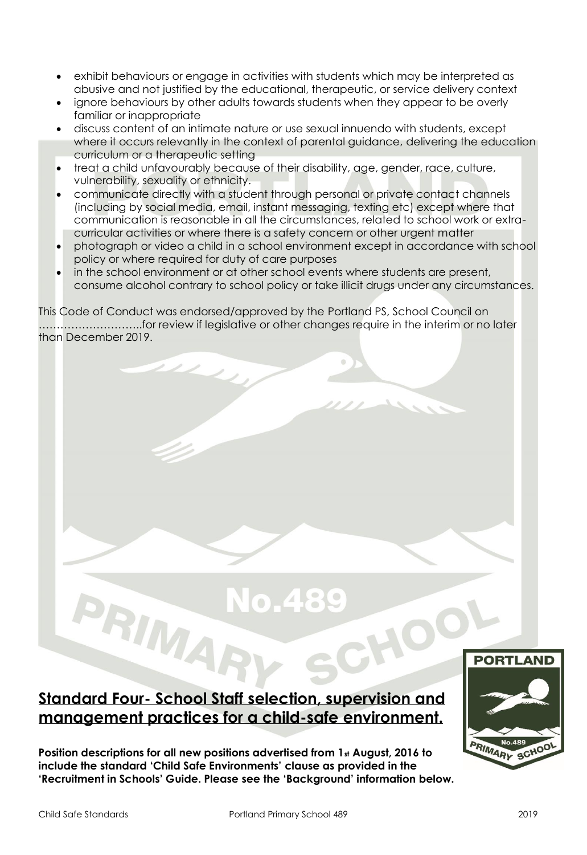- exhibit behaviours or engage in activities with students which may be interpreted as abusive and not justified by the educational, therapeutic, or service delivery context
- ignore behaviours by other adults towards students when they appear to be overly familiar or inappropriate
- discuss content of an intimate nature or use sexual innuendo with students, except where it occurs relevantly in the context of parental guidance, delivering the education curriculum or a therapeutic setting
- treat a child unfavourably because of their disability, age, gender, race, culture, vulnerability, sexuality or ethnicity.
- communicate directly with a student through personal or private contact channels (including by social media, email, instant messaging, texting etc) except where that communication is reasonable in all the circumstances, related to school work or extracurricular activities or where there is a safety concern or other urgent matter
- photograph or video a child in a school environment except in accordance with school policy or where required for duty of care purposes
- in the school environment or at other school events where students are present, consume alcohol contrary to school policy or take illicit drugs under any circumstances.

This Code of Conduct was endorsed/approved by the Portland PS, School Council on ………………………..for review if legislative or other changes require in the interim or no later than December 2019.

### **Standard Four- School Staff selection, supervision and management practices for a child-safe environment.**

RIMA

**Position descriptions for all new positions advertised from 1st August, 2016 to include the standard 'Child Safe Environments' clause as provided in the 'Recruitment in Schools' Guide. Please see the 'Background' information below.** 

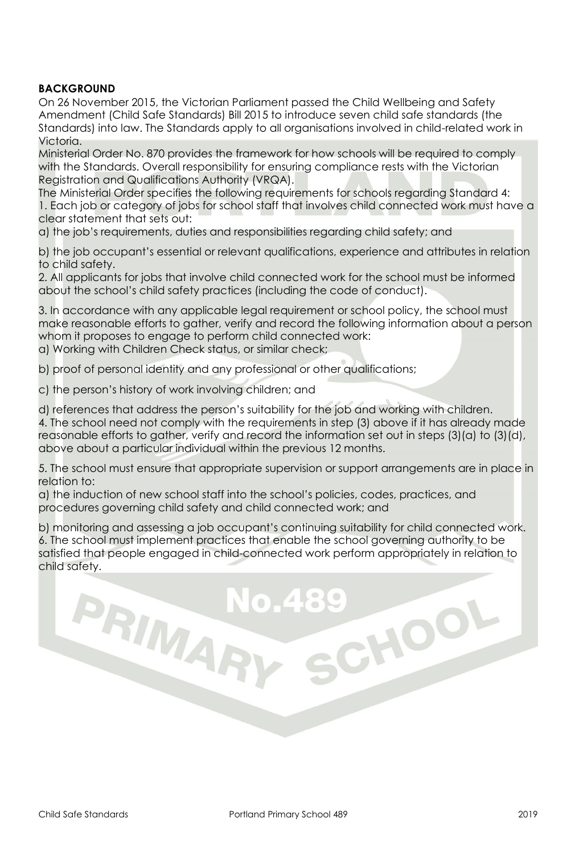#### **BACKGROUND**

On 26 November 2015, the Victorian Parliament passed the Child Wellbeing and Safety Amendment (Child Safe Standards) Bill 2015 to introduce seven child safe standards (the Standards) into law. The Standards apply to all organisations involved in child-related work in Victoria.

Ministerial Order No. 870 provides the framework for how schools will be required to comply with the Standards. Overall responsibility for ensuring compliance rests with the Victorian Registration and Qualifications Authority (VRQA).

The Ministerial Order specifies the following requirements for schools regarding Standard 4: 1. Each job or category of jobs for school staff that involves child connected work must have a clear statement that sets out:

a) the job's requirements, duties and responsibilities regarding child safety; and

b) the job occupant's essential or relevant qualifications, experience and attributes in relation to child safety.

2. All applicants for jobs that involve child connected work for the school must be informed about the school's child safety practices (including the code of conduct).

3. In accordance with any applicable legal requirement or school policy, the school must make reasonable efforts to gather, verify and record the following information about a person whom it proposes to engage to perform child connected work:

a) Working with Children Check status, or similar check;

b) proof of personal identity and any professional or other qualifications;

c) the person's history of work involving children; and

PRIMAR

d) references that address the person's suitability for the job and working with children. 4. The school need not comply with the requirements in step (3) above if it has already made reasonable efforts to gather, verify and record the information set out in steps (3)(a) to (3)(d), above about a particular individual within the previous 12 months.

5. The school must ensure that appropriate supervision or support arrangements are in place in relation to:

a) the induction of new school staff into the school's policies, codes, practices, and procedures governing child safety and child connected work; and

b) monitoring and assessing a job occupant's continuing suitability for child connected work. 6. The school must implement practices that enable the school governing authority to be satisfied that people engaged in child-connected work perform appropriately in relation to child safety.

CHOOL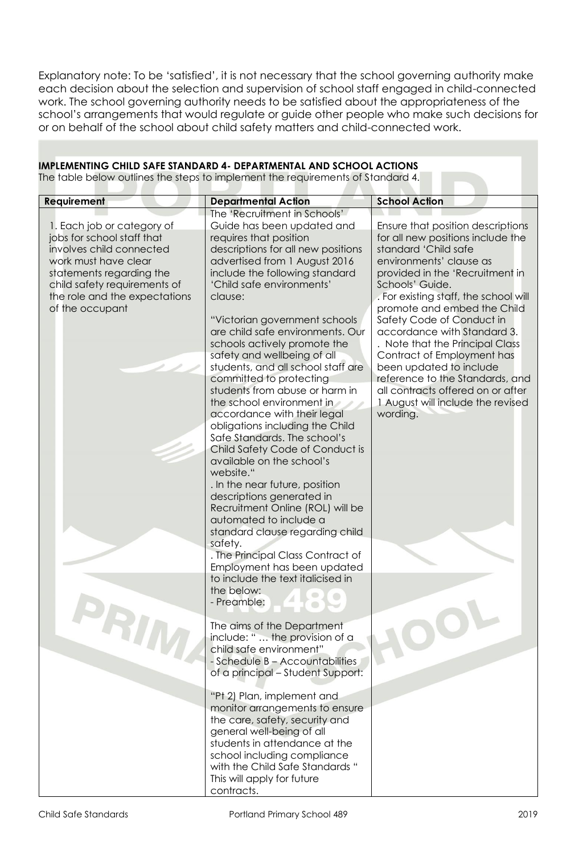Explanatory note: To be 'satisfied', it is not necessary that the school governing authority make each decision about the selection and supervision of school staff engaged in child-connected work. The school governing authority needs to be satisfied about the appropriateness of the school's arrangements that would regulate or guide other people who make such decisions for or on behalf of the school about child safety matters and child-connected work.

#### **IMPLEMENTING CHILD SAFE STANDARD 4- DEPARTMENTAL AND SCHOOL ACTIONS**

The table below outlines the steps to implement the requirements of Standard 4.

| <b>Requirement</b><br>1. Each job or category of<br>jobs for school staff that<br>involves child connected<br>work must have clear<br>statements regarding the<br>child safety requirements of<br>the role and the expectations<br>of the occupant | <b>Departmental Action</b><br>The 'Recruitment in Schools'<br>Guide has been updated and<br>requires that position<br>descriptions for all new positions<br>advertised from 1 August 2016<br>include the following standard<br>'Child safe environments'<br>clause:<br>"Victorian government schools<br>are child safe environments. Our<br>schools actively promote the<br>safety and wellbeing of all<br>students, and all school staff are<br>committed to protecting<br>students from abuse or harm in<br>the school environment in<br>accordance with their legal<br>obligations including the Child<br>Safe Standards. The school's<br>Child Safety Code of Conduct is<br>available on the school's<br>website."<br>. In the near future, position<br>descriptions generated in<br>Recruitment Online (ROL) will be<br>automated to include a<br>standard clause regarding child<br>safety.<br>. The Principal Class Contract of<br>Employment has been updated | <b>School Action</b><br>Ensure that position descriptions<br>for all new positions include the<br>standard 'Child safe<br>environments' clause as<br>provided in the 'Recruitment in<br>Schools' Guide.<br>. For existing staff, the school will<br>promote and embed the Child<br>Safety Code of Conduct in<br>accordance with Standard 3.<br>. Note that the Principal Class<br>Contract of Employment has<br>been updated to include<br>reference to the Standards, and<br>all contracts offered on or after<br>1 August will include the revised<br>wording. |
|----------------------------------------------------------------------------------------------------------------------------------------------------------------------------------------------------------------------------------------------------|-----------------------------------------------------------------------------------------------------------------------------------------------------------------------------------------------------------------------------------------------------------------------------------------------------------------------------------------------------------------------------------------------------------------------------------------------------------------------------------------------------------------------------------------------------------------------------------------------------------------------------------------------------------------------------------------------------------------------------------------------------------------------------------------------------------------------------------------------------------------------------------------------------------------------------------------------------------------------|------------------------------------------------------------------------------------------------------------------------------------------------------------------------------------------------------------------------------------------------------------------------------------------------------------------------------------------------------------------------------------------------------------------------------------------------------------------------------------------------------------------------------------------------------------------|
| DU                                                                                                                                                                                                                                                 | to include the text italicised in<br>the below:<br>- Preamble:<br>The aims of the Department<br>include: " the provision of a<br>child safe environment"<br>- Schedule B - Accountabilities<br>of a principal - Student Support:<br>"Pt 2) Plan, implement and<br>monitor arrangements to ensure<br>the care, safety, security and<br>general well-being of all<br>students in attendance at the<br>school including compliance<br>with the Child Safe Standards "<br>This will apply for future<br>contracts.                                                                                                                                                                                                                                                                                                                                                                                                                                                        |                                                                                                                                                                                                                                                                                                                                                                                                                                                                                                                                                                  |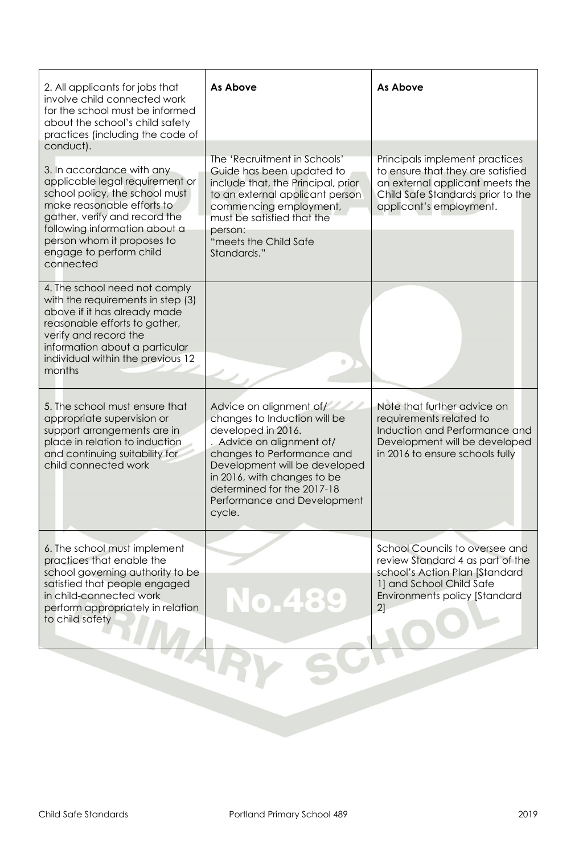| 2. All applicants for jobs that<br>involve child connected work<br>for the school must be informed<br>about the school's child safety<br>practices (including the code of<br>conduct).                                                                               | <b>As Above</b>                                                                                                                                                                                                                                                                 | <b>As Above</b>                                                                                                                                                         |
|----------------------------------------------------------------------------------------------------------------------------------------------------------------------------------------------------------------------------------------------------------------------|---------------------------------------------------------------------------------------------------------------------------------------------------------------------------------------------------------------------------------------------------------------------------------|-------------------------------------------------------------------------------------------------------------------------------------------------------------------------|
| 3. In accordance with any<br>applicable legal requirement or<br>school policy, the school must<br>make reasonable efforts to<br>gather, verify and record the<br>following information about a<br>person whom it proposes to<br>engage to perform child<br>connected | The 'Recruitment in Schools'<br>Guide has been updated to<br>include that, the Principal, prior<br>to an external applicant person<br>commencing employment,<br>must be satisfied that the<br>person:<br>"meets the Child Safe<br>Standards."                                   | Principals implement practices<br>to ensure that they are satisfied<br>an external applicant meets the<br>Child Safe Standards prior to the<br>applicant's employment.  |
| 4. The school need not comply<br>with the requirements in step (3)<br>above if it has already made<br>reasonable efforts to gather,<br>verify and record the<br>information about a particular<br>individual within the previous 12<br>months                        |                                                                                                                                                                                                                                                                                 |                                                                                                                                                                         |
| 5. The school must ensure that<br>appropriate supervision or<br>support arrangements are in<br>place in relation to induction<br>and continuing suitability for<br>child connected work                                                                              | Advice on alignment of/<br>changes to Induction will be<br>developed in 2016.<br>. Advice on alignment of/<br>changes to Performance and<br>Development will be developed<br>in 2016, with changes to be<br>determined for the 2017-18<br>Performance and Development<br>cycle. | Note that further advice on<br>requirements related to<br>Induction and Performance and<br>Development will be developed<br>in 2016 to ensure schools fully             |
| 6. The school must implement<br>practices that enable the<br>school governing authority to be<br>satisfied that people engaged<br>in child-connected work<br>perform appropriately in relation<br>to child safety                                                    | No.489                                                                                                                                                                                                                                                                          | School Councils to oversee and<br>review Standard 4 as part of the<br>school's Action Plan [Standard<br>1] and School Child Safe<br>Environments policy [Standard<br>2] |
|                                                                                                                                                                                                                                                                      |                                                                                                                                                                                                                                                                                 |                                                                                                                                                                         |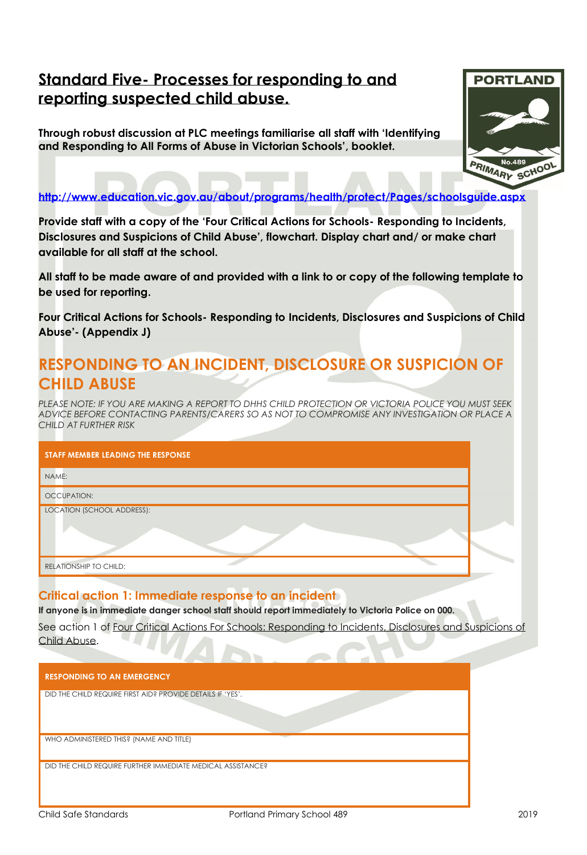## **Standard Five- Processes for responding to and reporting suspected child abuse.**

**Through robust discussion at PLC meetings familiarise all staff with 'Identifying and Responding to All Forms of Abuse in Victorian Schools', booklet.** 



**<http://www.education.vic.gov.au/about/programs/health/protect/Pages/schoolsguide.aspx>**

**Provide staff with a copy of the 'Four Critical Actions for Schools- Responding to Incidents, Disclosures and Suspicions of Child Abuse', flowchart. Display chart and/ or make chart available for all staff at the school.**

**All staff to be made aware of and provided with a link to or copy of the following template to be used for reporting.** 

**Four Critical Actions for Schools- Responding to Incidents, Disclosures and Suspicions of Child Abuse'- (Appendix J)**

# **RESPONDING TO AN INCIDENT, DISCLOSURE OR SUSPICION OF CHILD ABUSE**

*PLEASE NOTE: IF YOU ARE MAKING A REPORT TO DHHS CHILD PROTECTION OR VICTORIA POLICE YOU MUST SEEK ADVICE BEFORE CONTACTING PARENTS/CARERS SO AS NOT TO COMPROMISE ANY INVESTIGATION OR PLACE A CHILD AT FURTHER RISK* 

| STAFF MEMBER LEADING THE RESPONSE |  |
|-----------------------------------|--|
| NAME:                             |  |
| <b>OCCUPATION:</b>                |  |
| LOCATION (SCHOOL ADDRESS):        |  |
|                                   |  |
| RELATIONSHIP TO CHILD:            |  |

#### **Critical action 1: Immediate response to an incident**

**If anyone is in immediate danger school staff should report immediately to Victoria Police on 000.** 

See action 1 of Four Critical Actions For Schools: Responding to Incidents, Disclosures and Suspicions of Child Abuse.

| <b>RESPONDING TO AN EMERGENCY</b>                           |
|-------------------------------------------------------------|
| DID THE CHILD REQUIRE FIRST AID? PROVIDE DETAILS IF 'YES'.  |
| WHO ADMINISTERED THIS? (NAME AND TITLE)                     |
| DID THE CHILD REQUIRE FURTHER IMMEDIATE MEDICAL ASSISTANCE? |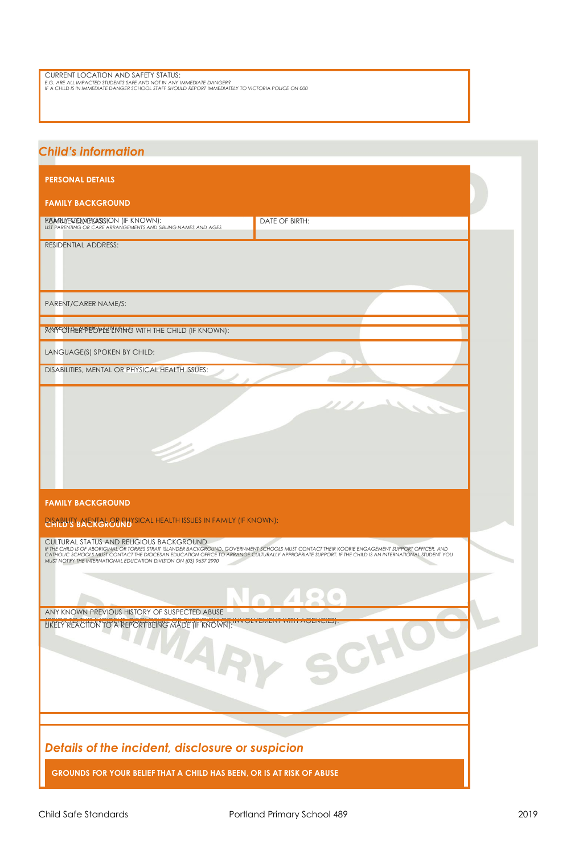| CURRENT LOCATION AND SAFETY STATUS: |
|-------------------------------------|
|-------------------------------------|

CURRENT LOCATION AND SAFETY STATUS**;**<br>e.g. are all impacted students safe and not in any immediate danger?<br>if a child is in immediate danger school staff should report immediately to victoria police on 000

| <b>Child's information</b>                                                                                                                                                                                                                                                                                                                                                                                                |                      |  |
|---------------------------------------------------------------------------------------------------------------------------------------------------------------------------------------------------------------------------------------------------------------------------------------------------------------------------------------------------------------------------------------------------------------------------|----------------------|--|
| <b>PERSONAL DETAILS</b>                                                                                                                                                                                                                                                                                                                                                                                                   |                      |  |
| <b>FAMILY BACKGROUND</b>                                                                                                                                                                                                                                                                                                                                                                                                  |                      |  |
| FEARLLYEQELMELASSION (IF KNOWN):<br>LIST PARENTING OR CARE ARRANGEMENTS AND SIBLING NAMES AND AGES                                                                                                                                                                                                                                                                                                                        | DATE OF BIRTH:       |  |
| <b>RESIDENTIAL ADDRESS:</b>                                                                                                                                                                                                                                                                                                                                                                                               |                      |  |
| PARENT/CARER NAME/S:                                                                                                                                                                                                                                                                                                                                                                                                      |                      |  |
| <b>ANY-OTHER PEOPLE LIMING WITH THE CHILD (IF KNOWN):</b>                                                                                                                                                                                                                                                                                                                                                                 |                      |  |
| LANGUAGE(S) SPOKEN BY CHILD:                                                                                                                                                                                                                                                                                                                                                                                              |                      |  |
| DISABILITIES, MENTAL OR PHYSICAL HEALTH ISSUES:                                                                                                                                                                                                                                                                                                                                                                           |                      |  |
|                                                                                                                                                                                                                                                                                                                                                                                                                           |                      |  |
|                                                                                                                                                                                                                                                                                                                                                                                                                           |                      |  |
|                                                                                                                                                                                                                                                                                                                                                                                                                           |                      |  |
|                                                                                                                                                                                                                                                                                                                                                                                                                           |                      |  |
| <b>FAMILY BACKGROUND</b>                                                                                                                                                                                                                                                                                                                                                                                                  |                      |  |
| <b>PLANEW'S BAENGROBRID'SICAL HEALTH ISSUES IN FAMILY (IF KNOWN):</b>                                                                                                                                                                                                                                                                                                                                                     |                      |  |
| CULTURAL STATUS AND RELIGIOUS BACKGROUND<br>IF THE CHILD IS OF ABORIGINAL OR TORRES STRAIT ISLANDER BACKGROUND, GOVERNMENT SCHOOLS MUST CONTACT THEIR KOORIE ENGAGEMENT SUPPORT OFFICER, AND<br>CATHOLIC SCHOOLS MUST CONTACT THE DIOCESAN EDUCATION OFFICE TO ARRANGE CULTURALLY APPROPRIATE SUPPORT. IF THE CHILD IS AN INTERNATIONAL STUDENT YOU<br>MUST NOTIFY THE INTERNATIONAL EDUCATION DIVISION ON (03) 9637 2990 |                      |  |
|                                                                                                                                                                                                                                                                                                                                                                                                                           | $\circ$<br>$\bullet$ |  |
| ANY KNOWN PREVIOUS HISTORY OF SUSPECTED ABUSE<br>LIKELY REACTION TO A REPORT BEING MADE (IF RNOWN):"                                                                                                                                                                                                                                                                                                                      |                      |  |
| MARY                                                                                                                                                                                                                                                                                                                                                                                                                      |                      |  |
|                                                                                                                                                                                                                                                                                                                                                                                                                           | $\mathcal{C}$        |  |
|                                                                                                                                                                                                                                                                                                                                                                                                                           |                      |  |
|                                                                                                                                                                                                                                                                                                                                                                                                                           |                      |  |
|                                                                                                                                                                                                                                                                                                                                                                                                                           |                      |  |
| Details of the incident, disclosure or suspicion                                                                                                                                                                                                                                                                                                                                                                          |                      |  |
| GROUNDS FOR YOUR BELIEF THAT A CHILD HAS BEEN, OR IS AT RISK OF ABUSE                                                                                                                                                                                                                                                                                                                                                     |                      |  |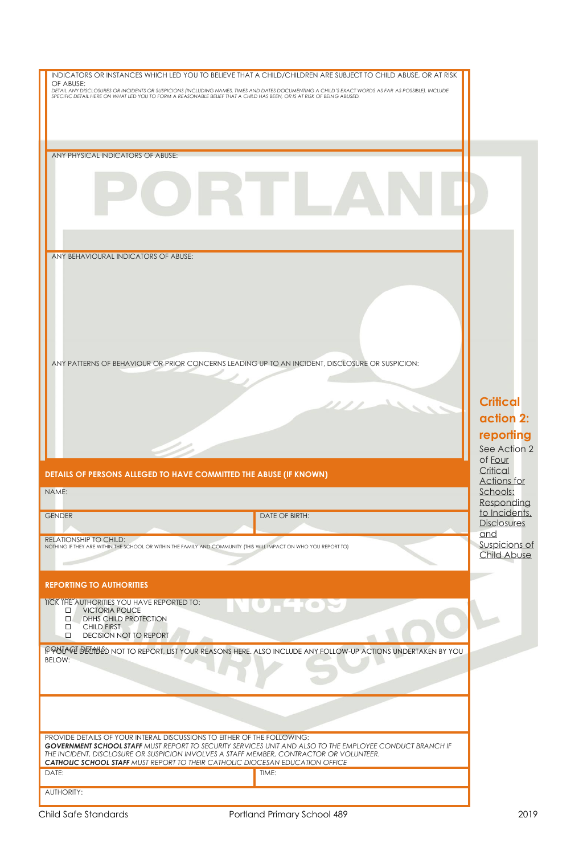| OF ABUSE:<br>DETAIL ANY DISCLOSURES OR INCIDENTS OR SUSPICIONS (INCLUDING NAMES, TIMES AND DATES DOCUMENTING A CHILD'S EXACT WORDS AS FAR AS POSSIBLE). INCLUDE<br>SPECIFIC DETAIL HERE ON WHAT LED YOU TO FORM A REASONABLE BELIEF THAT A CHI |                                                                                                                 |                                     |
|------------------------------------------------------------------------------------------------------------------------------------------------------------------------------------------------------------------------------------------------|-----------------------------------------------------------------------------------------------------------------|-------------------------------------|
|                                                                                                                                                                                                                                                |                                                                                                                 |                                     |
|                                                                                                                                                                                                                                                |                                                                                                                 |                                     |
|                                                                                                                                                                                                                                                |                                                                                                                 |                                     |
|                                                                                                                                                                                                                                                |                                                                                                                 |                                     |
|                                                                                                                                                                                                                                                |                                                                                                                 |                                     |
| ANY PHYSICAL INDICATORS OF ABUSE:                                                                                                                                                                                                              |                                                                                                                 |                                     |
|                                                                                                                                                                                                                                                |                                                                                                                 |                                     |
|                                                                                                                                                                                                                                                |                                                                                                                 |                                     |
|                                                                                                                                                                                                                                                |                                                                                                                 |                                     |
|                                                                                                                                                                                                                                                |                                                                                                                 |                                     |
| ANY BEHAVIOURAL INDICATORS OF ABUSE:                                                                                                                                                                                                           |                                                                                                                 |                                     |
|                                                                                                                                                                                                                                                |                                                                                                                 |                                     |
|                                                                                                                                                                                                                                                |                                                                                                                 |                                     |
|                                                                                                                                                                                                                                                |                                                                                                                 |                                     |
|                                                                                                                                                                                                                                                |                                                                                                                 |                                     |
|                                                                                                                                                                                                                                                |                                                                                                                 |                                     |
|                                                                                                                                                                                                                                                |                                                                                                                 |                                     |
|                                                                                                                                                                                                                                                |                                                                                                                 |                                     |
| ANY PATTERNS OF BEHAVIOUR OR PRIOR CONCERNS LEADING UP TO AN INCIDENT, DISCLOSURE OR SUSPICION:                                                                                                                                                |                                                                                                                 |                                     |
|                                                                                                                                                                                                                                                |                                                                                                                 |                                     |
|                                                                                                                                                                                                                                                |                                                                                                                 |                                     |
|                                                                                                                                                                                                                                                |                                                                                                                 | <b>Critical</b>                     |
|                                                                                                                                                                                                                                                |                                                                                                                 | action 2:                           |
|                                                                                                                                                                                                                                                |                                                                                                                 |                                     |
|                                                                                                                                                                                                                                                |                                                                                                                 | reporting                           |
|                                                                                                                                                                                                                                                |                                                                                                                 | See Action 2<br>of Four             |
| DETAILS OF PERSONS ALLEGED TO HAVE COMMITTED THE ABUSE (IF KNOWN)                                                                                                                                                                              |                                                                                                                 | Critical                            |
| NAME:                                                                                                                                                                                                                                          |                                                                                                                 | Actions for                         |
|                                                                                                                                                                                                                                                |                                                                                                                 |                                     |
|                                                                                                                                                                                                                                                |                                                                                                                 | Schools:                            |
|                                                                                                                                                                                                                                                |                                                                                                                 | Responding<br>to Incidents,         |
| <b>GENDER</b>                                                                                                                                                                                                                                  | DATE OF BIRTH:                                                                                                  | <b>Disclosures</b>                  |
| RELATIONSHIP TO CHILD:                                                                                                                                                                                                                         |                                                                                                                 | and                                 |
| NOTHING IF THEY ARE WITHIN THE SCHOOL OR WITHIN THE FAMILY AND COMMUNITY (THIS WILL IMPACT ON WHO YOU REPORT TO)                                                                                                                               |                                                                                                                 |                                     |
|                                                                                                                                                                                                                                                |                                                                                                                 | Suspicions of<br><b>Child Abuse</b> |
| <b>REPORTING TO AUTHORITIES</b>                                                                                                                                                                                                                |                                                                                                                 |                                     |
| TICK THE AUTHORITIES YOU HAVE REPORTED TO:                                                                                                                                                                                                     |                                                                                                                 |                                     |
| <b>VICTORIA POLICE</b><br>$\Box$                                                                                                                                                                                                               | HE IO M                                                                                                         |                                     |
| $\Box$<br>DHHS CHILD PROTECTION<br><b>CHILD FIRST</b><br>□                                                                                                                                                                                     |                                                                                                                 |                                     |
| <b>DECISION NOT TO REPORT</b><br>□                                                                                                                                                                                                             |                                                                                                                 |                                     |
|                                                                                                                                                                                                                                                | FPOUVE DECIDED NOT TO REPORT, LIST YOUR REASONS HERE. ALSO INCLUDE ANY FOLLOW-UP ACTIONS UNDERTAKEN BY YOU      |                                     |
| BELOW:                                                                                                                                                                                                                                         |                                                                                                                 |                                     |
|                                                                                                                                                                                                                                                |                                                                                                                 |                                     |
|                                                                                                                                                                                                                                                |                                                                                                                 |                                     |
|                                                                                                                                                                                                                                                |                                                                                                                 |                                     |
|                                                                                                                                                                                                                                                |                                                                                                                 |                                     |
|                                                                                                                                                                                                                                                |                                                                                                                 |                                     |
| PROVIDE DETAILS OF YOUR INTERAL DISCUSSIONS TO EITHER OF THE FOLLOWING:                                                                                                                                                                        | <b>GOVERNMENT SCHOOL STAFF MUST REPORT TO SECURITY SERVICES UNIT AND ALSO TO THE EMPLOYEE CONDUCT BRANCH IF</b> |                                     |
| THE INCIDENT, DISCLOSURE OR SUSPICION INVOLVES A STAFF MEMBER, CONTRACTOR OR VOLUNTEER.                                                                                                                                                        |                                                                                                                 |                                     |
| <b>CATHOLIC SCHOOL STAFF MUST REPORT TO THEIR CATHOLIC DIOCESAN EDUCATION OFFICE</b>                                                                                                                                                           |                                                                                                                 |                                     |
| DATE:<br><b>AUTHORITY:</b>                                                                                                                                                                                                                     | TIME:                                                                                                           |                                     |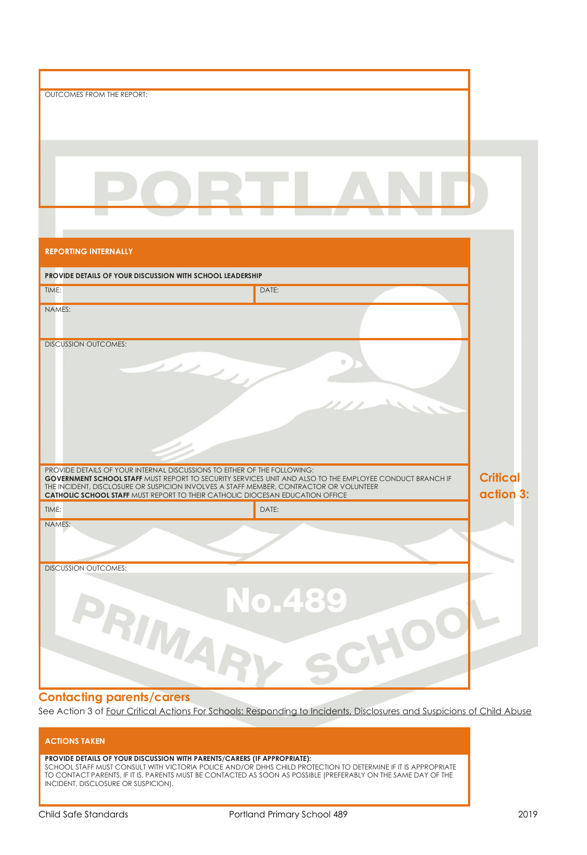| OUTCOMES FROM THE REPORT:                                                                                                                                                      |               |                 |
|--------------------------------------------------------------------------------------------------------------------------------------------------------------------------------|---------------|-----------------|
|                                                                                                                                                                                |               |                 |
|                                                                                                                                                                                |               |                 |
|                                                                                                                                                                                |               |                 |
|                                                                                                                                                                                |               |                 |
|                                                                                                                                                                                |               |                 |
|                                                                                                                                                                                |               |                 |
|                                                                                                                                                                                |               |                 |
|                                                                                                                                                                                |               |                 |
|                                                                                                                                                                                |               |                 |
|                                                                                                                                                                                |               |                 |
| <b>REPORTING INTERNALLY</b>                                                                                                                                                    |               |                 |
|                                                                                                                                                                                |               |                 |
| PROVIDE DETAILS OF YOUR DISCUSSION WITH SCHOOL LEADERSHIP                                                                                                                      |               |                 |
| TIME:                                                                                                                                                                          | DATE:         |                 |
| NAMES:                                                                                                                                                                         |               |                 |
|                                                                                                                                                                                |               |                 |
|                                                                                                                                                                                |               |                 |
| <b>DISCUSSION OUTCOMES:</b>                                                                                                                                                    |               |                 |
|                                                                                                                                                                                |               |                 |
|                                                                                                                                                                                |               |                 |
|                                                                                                                                                                                |               |                 |
|                                                                                                                                                                                |               |                 |
|                                                                                                                                                                                |               |                 |
|                                                                                                                                                                                |               |                 |
|                                                                                                                                                                                |               |                 |
| PROVIDE DETAILS OF YOUR INTERNAL DISCUSSIONS TO EITHER OF THE FOLLOWING:                                                                                                       |               |                 |
| <b>GOVERNMENT SCHOOL STAFF MUST REPORT TO SECURITY SERVICES UNIT AND ALSO TO THE EMPLOYEE CONDUCT BRANCH IF</b>                                                                |               | <b>Critical</b> |
| THE INCIDENT, DISCLOSURE OR SUSPICION INVOLVES A STAFF MEMBER, CONTRACTOR OR VOLUNTEER<br><b>CATHOLIC SCHOOL STAFF MUST REPORT TO THEIR CATHOLIC DIOCESAN EDUCATION OFFICE</b> |               | action 3:       |
| TIME:                                                                                                                                                                          | DAIE:         |                 |
| NAMES:                                                                                                                                                                         |               |                 |
|                                                                                                                                                                                |               |                 |
|                                                                                                                                                                                |               |                 |
| <b>DISCUSSION OUTCOMES:</b>                                                                                                                                                    |               |                 |
|                                                                                                                                                                                |               |                 |
|                                                                                                                                                                                |               |                 |
|                                                                                                                                                                                | <b>No.489</b> |                 |
|                                                                                                                                                                                |               |                 |
|                                                                                                                                                                                |               |                 |
|                                                                                                                                                                                |               |                 |
| PRIMAR                                                                                                                                                                         | CHO           |                 |
|                                                                                                                                                                                |               |                 |
|                                                                                                                                                                                |               |                 |

#### **Contacting parents/carers**

See Action 3 of Four Critical Actions For Schools: Responding to Incidents, Disclosures and Suspicions of Child Abuse

#### **ACTIONS TAKEN**

#### **PROVIDE DETAILS OF YOUR DISCUSSION WITH PARENTS/CARERS (IF APPROPRIATE):**

SCHOOL STAFF MUST CONSULT WITH VICTORIA POLICE AND/OR DHHS CHILD PROTECTION TO DETERMINE IF IT IS APPROPRIATE TO CONTACT PARENTS, IF IT IS, PARENTS MUST BE CONTACTED AS SOON AS POSSIBLE (PREFERABLY ON THE SAME DAY OF THE INCIDENT, DISCLOSURE OR SUSPICION).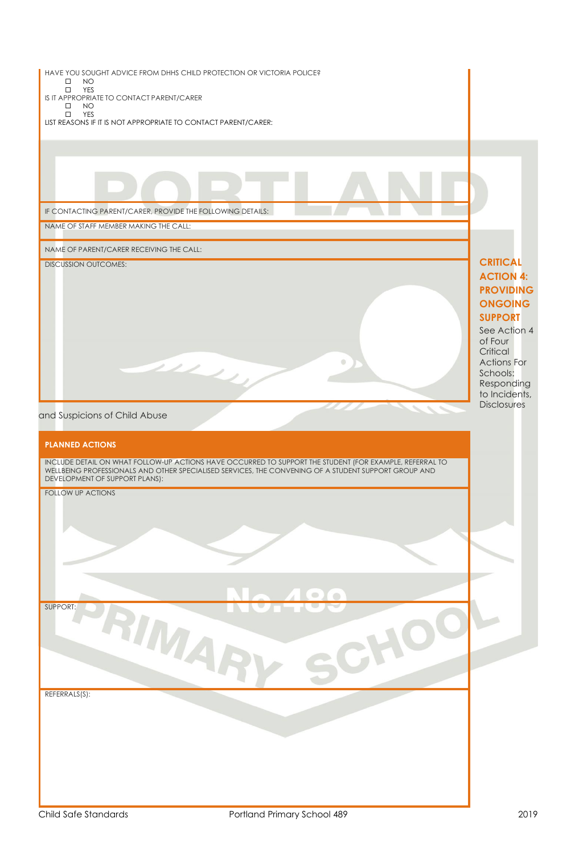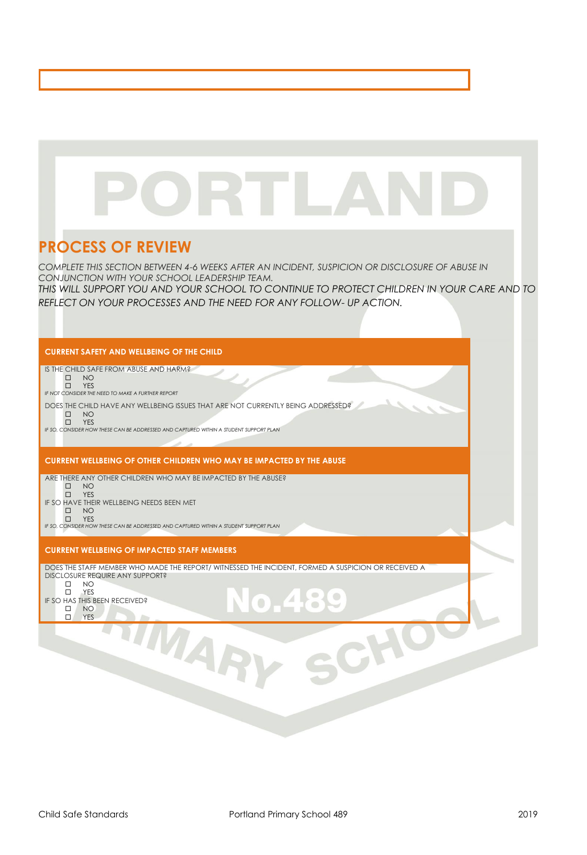# RTLA

# **PROCESS OF REVIEW**

*COMPLETE THIS SECTION BETWEEN 4-6 WEEKS AFTER AN INCIDENT, SUSPICION OR DISCLOSURE OF ABUSE IN CONJUNCTION WITH YOUR SCHOOL LEADERSHIP TEAM.* 

*THIS WILL SUPPORT YOU AND YOUR SCHOOL TO CONTINUE TO PROTECT CHILDREN IN YOUR CARE AND TO REFLECT ON YOUR PROCESSES AND THE NEED FOR ANY FOLLOW- UP ACTION.* 

| <b>CURRENT SAFETY AND WELLBEING OF THE CHILD</b>                                                                                                                                                                                                                                                  |  |
|---------------------------------------------------------------------------------------------------------------------------------------------------------------------------------------------------------------------------------------------------------------------------------------------------|--|
| IS THE CHILD SAFE FROM ABUSE AND HARM?<br><b>NO</b><br>$\Box$<br><b>YES</b><br>$\Box$<br>IF NOT CONSIDER THE NEED TO MAKE A FURTHER REPORT                                                                                                                                                        |  |
| DOES THE CHILD HAVE ANY WELLBEING ISSUES THAT ARE NOT CURRENTLY BEING ADDRESSED?<br>$\Box$<br>NO.<br><b>YES</b><br>$\Box$<br>IF SO, CONSIDER HOW THESE CAN BE ADDRESSED AND CAPTURED WITHIN A STUDENT SUPPORT PLAN                                                                                |  |
| <b>CURRENT WELLBEING OF OTHER CHILDREN WHO MAY BE IMPACTED BY THE ABUSE</b>                                                                                                                                                                                                                       |  |
| ARE THERE ANY OTHER CHILDREN WHO MAY BE IMPACTED BY THE ABUSE?<br>$\Box$<br>NO<br><b>YES</b><br>$\Box$<br>IF SO HAVE THEIR WELLBEING NEEDS BEEN MET<br>$\Box$<br>NO <sub>1</sub><br><b>YES</b><br>$\Box$<br>IF SO, CONSIDER HOW THESE CAN BE ADDRESSED AND CAPTURED WITHIN A STUDENT SUPPORT PLAN |  |
| <b>CURRENT WELLBEING OF IMPACTED STAFF MEMBERS</b>                                                                                                                                                                                                                                                |  |
| DOES THE STAFF MEMBER WHO MADE THE REPORT/ WITNESSED THE INCIDENT, FORMED A SUSPICION OR RECEIVED A<br>DISCLOSURE REQUIRE ANY SUPPORT?<br>NO.<br>$\Box$<br>YES<br>$\Box$<br>IF SO HAS THIS BEEN RECEIVED?<br>$\Box$<br><b>NO</b><br>$\Box$<br><b>YES</b>                                          |  |
| AR                                                                                                                                                                                                                                                                                                |  |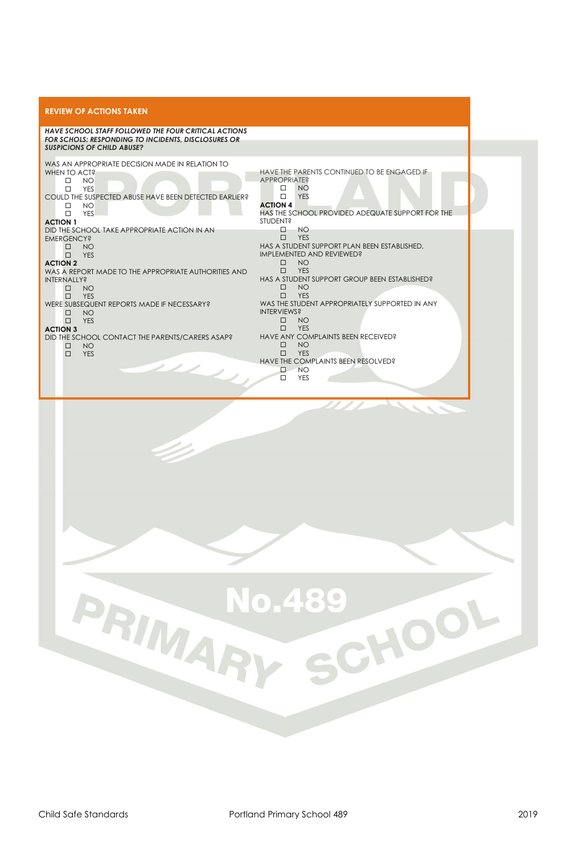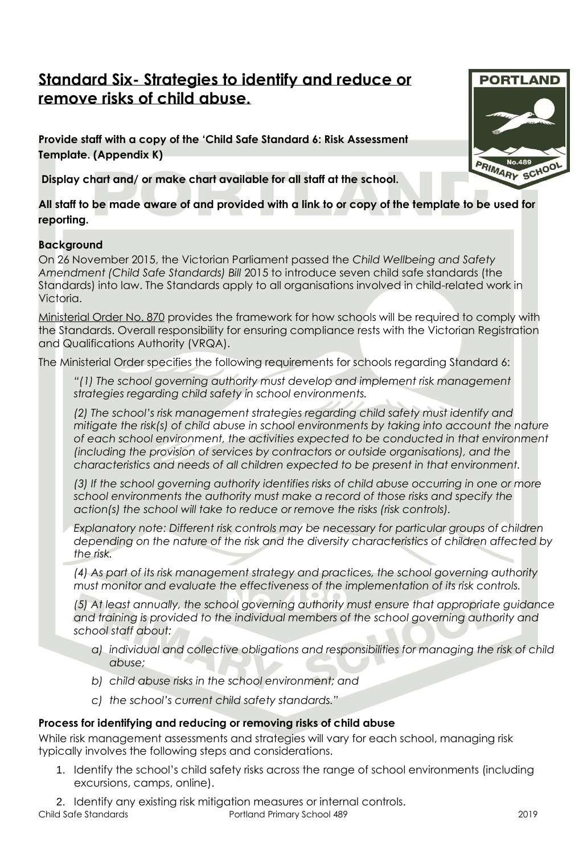## **Standard Six- Strategies to identify and reduce or remove risks of child abuse.**

**Provide staff with a copy of the 'Child Safe Standard 6: Risk Assessment Template. (Appendix K)**

**Display chart and/ or make chart available for all staff at the school.**

**All staff to be made aware of and provided with a link to or copy of the template to be used for reporting.** 

#### **Background**

On 26 November 2015, the Victorian Parliament passed the *Child Wellbeing and Safety Amendment (Child Safe Standards) Bill* 2015 to introduce seven child safe standards (the Standards) into law. The Standards apply to all organisations involved in child-related work in Victoria.

[Ministerial Order No. 870](http://www.gazette.vic.gov.au/gazette/Gazettes2016/GG2016S002.pdf) provides the framework for how schools will be required to comply with the Standards. Overall responsibility for ensuring compliance rests with the Victorian Registration and Qualifications Authority (VRQA).

The Ministerial Order specifies the following requirements for schools regarding Standard 6:

*"(1) The school governing authority must develop and implement risk management strategies regarding child safety in school environments.*

*(2) The school's risk management strategies regarding child safety must identify and mitigate the risk(s) of child abuse in school environments by taking into account the nature of each school environment, the activities expected to be conducted in that environment (including the provision of services by contractors or outside organisations), and the characteristics and needs of all children expected to be present in that environment.*

*(3) If the school governing authority identifies risks of child abuse occurring in one or more school environments the authority must make a record of those risks and specify the action(s) the school will take to reduce or remove the risks (risk controls).*

*Explanatory note: Different risk controls may be necessary for particular groups of children depending on the nature of the risk and the diversity characteristics of children affected by the risk.*

*(4) As part of its risk management strategy and practices, the school governing authority must monitor and evaluate the effectiveness of the implementation of its risk controls.*

*(5) At least annually, the school governing authority must ensure that appropriate guidance and training is provided to the individual members of the school governing authority and school staff about:* 

- *a) individual and collective obligations and responsibilities for managing the risk of child abuse;*
- *b) child abuse risks in the school environment; and*
- *c) the school's current child safety standards."*

#### **Process for identifying and reducing or removing risks of child abuse**

While risk management assessments and strategies will vary for each school, managing risk typically involves the following steps and considerations.

- 1. Identify the school's child safety risks across the range of school environments (including excursions, camps, online).
- 2. Identify any existing risk mitigation measures or internal controls.

Child Safe Standards Portland Primary School 489 2019

**PORTLAND**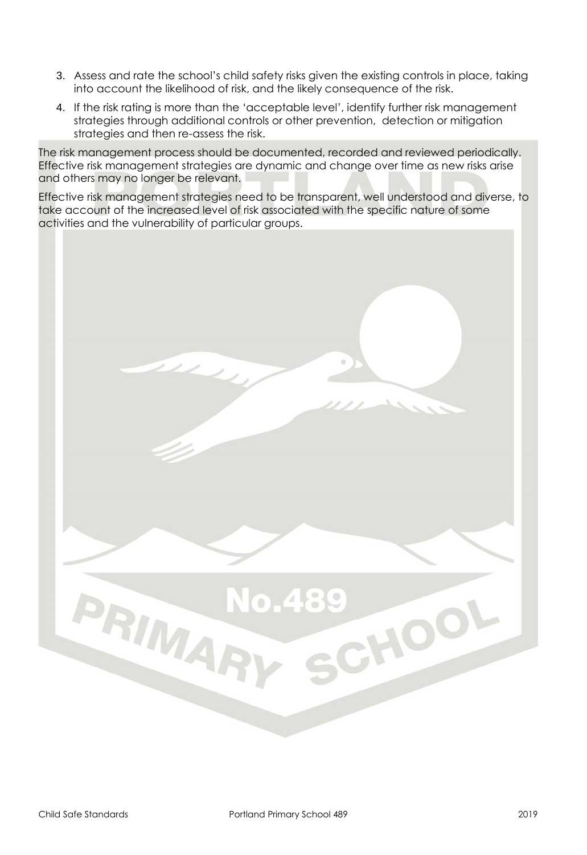- 3. Assess and rate the school's child safety risks given the existing controls in place, taking into account the likelihood of risk, and the likely consequence of the risk.
- 4. If the risk rating is more than the 'acceptable level', identify further risk management strategies through additional controls or other prevention, detection or mitigation strategies and then re-assess the risk.

The risk management process should be documented, recorded and reviewed periodically. Effective risk management strategies are dynamic and change over time as new risks arise and others may no longer be relevant.

Effective risk management strategies need to be transparent, well understood and diverse, to take account of the increased level of risk associated with the specific nature of some activities and the vulnerability of particular groups.